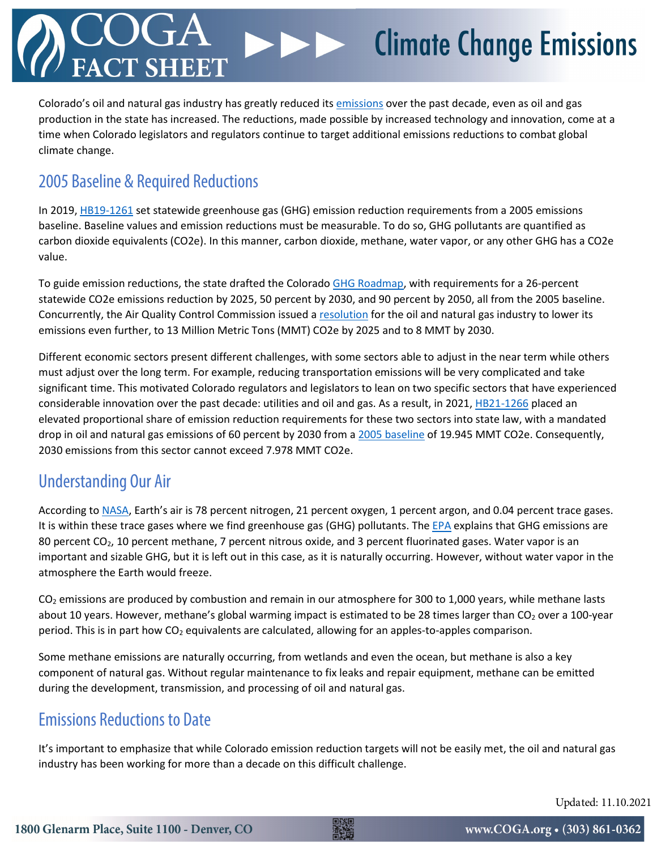## **Climate Change Emissions**  $\blacktriangleright\blacktriangleright$

Colorado's oil and natural gas industry has greatly reduced its [emissions](https://www.coga.org/factsheets/colorado-molecule) over the past decade, even as oil and gas production in the state has increased. The reductions, made possible by increased technology and innovation, come at a time when Colorado legislators and regulators continue to target additional emissions reductions to combat global climate change.

### 2005 Baseline & Required Reductions

In 2019[, HB19-1261](https://leg.colorado.gov/bills/hb19-1261) set statewide greenhouse gas (GHG) emission reduction requirements from a 2005 emissions baseline. Baseline values and emission reductions must be measurable. To do so, GHG pollutants are quantified as carbon dioxide equivalents (CO2e). In this manner, carbon dioxide, methane, water vapor, or any other GHG has a CO2e value.

To guide emission reductions, the state drafted the Colorado [GHG Roadmap,](https://energyoffice.colorado.gov/climate-energy/ghg-pollution-reduction-roadmap) with requirements for a 26-percent statewide CO2e emissions reduction by 2025, 50 percent by 2030, and 90 percent by 2050, all from the 2005 baseline. Concurrently, the Air Quality Control Commission issued [a resolution](https://drive.google.com/drive/folders/1c6BUPbOwdV9aYahlld65TvnhitQcTuQQ) for the oil and natural gas industry to lower its emissions even further, to 13 Million Metric Tons (MMT) CO2e by 2025 and to 8 MMT by 2030.

Different economic sectors present different challenges, with some sectors able to adjust in the near term while others must adjust over the long term. For example, reducing transportation emissions will be very complicated and take significant time. This motivated Colorado regulators and legislators to lean on two specific sectors that have experienced considerable innovation over the past decade: utilities and oil and gas. As a result, in 2021, [HB21-1266](https://leg.colorado.gov/bills/hb21-1266) placed an elevated proportional share of emission reduction requirements for these two sectors into state law, with a mandated drop in oil and natural gas emissions of 60 percent by 2030 from a [2005 baseline](https://drive.google.com/file/d/1SFtUongwCdZvZEEKC_VEorHky267x_np/view) of 19.945 MMT CO2e. Consequently, 2030 emissions from this sector cannot exceed 7.978 MMT CO2e.

### Understanding Our Air

According to [NASA,](https://climate.nasa.gov/news/2915/the-atmosphere-getting-a-handle-on-carbon-dioxide/) Earth's air is 78 percent nitrogen, 21 percent oxygen, 1 percent argon, and 0.04 percent trace gases. It is within these trace gases where we find greenhouse gas (GHG) pollutants. The [EPA](https://www.epa.gov/ghgemissions/overview-greenhouse-gases) explains that GHG emissions are 80 percent CO<sub>2</sub>, 10 percent methane, 7 percent nitrous oxide, and 3 percent fluorinated gases. Water vapor is an important and sizable GHG, but it is left out in this case, as it is naturally occurring. However, without water vapor in the atmosphere the Earth would freeze.

 $CO<sub>2</sub>$  emissions are produced by combustion and remain in our atmosphere for 300 to 1,000 years, while methane lasts about 10 years. However, methane's global warming impact is estimated to be 28 times larger than  $CO<sub>2</sub>$  over a 100-year period. This is in part how CO<sub>2</sub> equivalents are calculated, allowing for an apples-to-apples comparison.

Some methane emissions are naturally occurring, from wetlands and even the ocean, but methane is also a key component of natural gas. Without regular maintenance to fix leaks and repair equipment, methane can be emitted during the development, transmission, and processing of oil and natural gas.

### Emissions Reductions to Date

It's important to emphasize that while Colorado emission reduction targets will not be easily met, the oil and natural gas industry has been working for more than a decade on this difficult challenge.

Updated: 11.10.2021